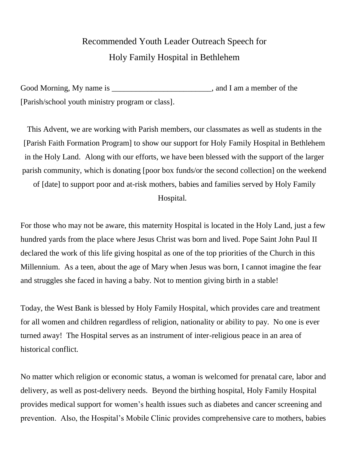## Recommended Youth Leader Outreach Speech for Holy Family Hospital in Bethlehem

Good Morning, My name is example is a set of the state of the state of the state of the state of the state of the state of the state of the state of the state of the state of the state of the state of the state of the stat [Parish/school youth ministry program or class].

This Advent, we are working with Parish members, our classmates as well as students in the [Parish Faith Formation Program] to show our support for Holy Family Hospital in Bethlehem in the Holy Land. Along with our efforts, we have been blessed with the support of the larger parish community, which is donating [poor box funds/or the second collection] on the weekend

of [date] to support poor and at-risk mothers, babies and families served by Holy Family Hospital.

For those who may not be aware, this maternity Hospital is located in the Holy Land, just a few hundred yards from the place where Jesus Christ was born and lived. Pope Saint John Paul II declared the work of this life giving hospital as one of the top priorities of the Church in this Millennium. As a teen, about the age of Mary when Jesus was born, I cannot imagine the fear and struggles she faced in having a baby. Not to mention giving birth in a stable!

Today, the West Bank is blessed by Holy Family Hospital, which provides care and treatment for all women and children regardless of religion, nationality or ability to pay. No one is ever turned away! The Hospital serves as an instrument of inter-religious peace in an area of historical conflict.

No matter which religion or economic status, a woman is welcomed for prenatal care, labor and delivery, as well as post-delivery needs. Beyond the birthing hospital, Holy Family Hospital provides medical support for women's health issues such as diabetes and cancer screening and prevention. Also, the Hospital's Mobile Clinic provides comprehensive care to mothers, babies